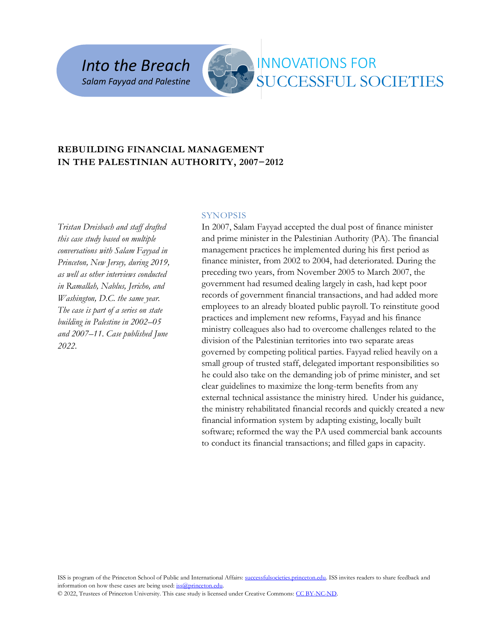*Into the Breach Salam Fayyad and Palestine* 



# INNOVATIONS FOR SUCCESSFUL SOCIETIES

# **REBUILDING FINANCIAL MANAGEMENT IN THE PALESTINIAN AUTHORITY, 2007−2012**

*Tristan Dreisbach and staff drafted this case study based on multiple conversations with Salam Fayyad in Princeton, New Jersey, during 2019, as well as other interviews conducted in Ramallah, Nablus, Jericho, and Washington, D.C. the same year. The case is part of a series on state building in Palestine in 2002–05 and 2007–11. Case published June 2022.*

#### **SYNOPSIS**

In 2007, Salam Fayyad accepted the dual post of finance minister and prime minister in the Palestinian Authority (PA). The financial management practices he implemented during his first period as finance minister, from 2002 to 2004, had deteriorated. During the preceding two years, from November 2005 to March 2007, the government had resumed dealing largely in cash, had kept poor records of government financial transactions, and had added more employees to an already bloated public payroll. To reinstitute good practices and implement new reforms, Fayyad and his finance ministry colleagues also had to overcome challenges related to the division of the Palestinian territories into two separate areas governed by competing political parties. Fayyad relied heavily on a small group of trusted staff, delegated important responsibilities so he could also take on the demanding job of prime minister, and set clear guidelines to maximize the long-term benefits from any external technical assistance the ministry hired. Under his guidance, the ministry rehabilitated financial records and quickly created a new financial information system by adapting existing, locally built software; reformed the way the PA used commercial bank accounts to conduct its financial transactions; and filled gaps in capacity.

ISS is program of the Princeton School of Public and International Affairs: [successfulsocieties.princeton.edu.](https://successfulsocieties.princeton.edu/) ISS invites readers to share feedback and information on how these cases are being used[: iss@princeton.edu.](mailto:iss@princeton.edu)

© 2022, Trustees of Princeton University. This case study is licensed under Creative Commons: [CC BY-NC-ND.](https://creativecommons.org/licenses/by-nc-nd/4.0/)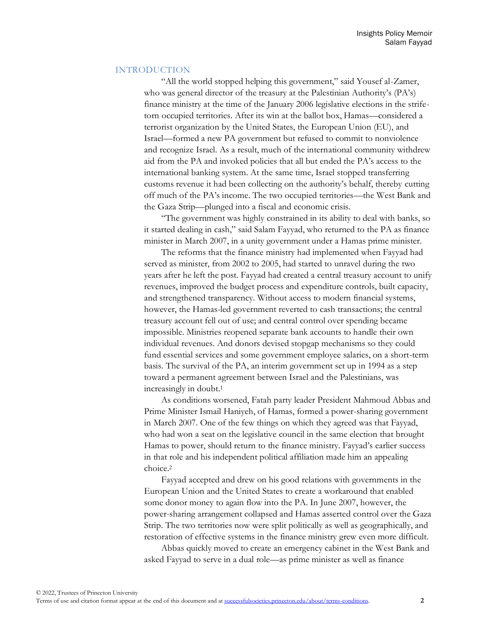## INTRODUCTION

"All the world stopped helping this government," said Yousef al-Zamer, who was general director of the treasury at the Palestinian Authority's (PA's) finance ministry at the time of the January 2006 legislative elections in the strifetorn occupied territories. After its win at the ballot box, Hamas—considered a terrorist organization by the United States, the European Union (EU), and Israel—formed a new PA government but refused to commit to nonviolence and recognize Israel. As a result, much of the international community withdrew aid from the PA and invoked policies that all but ended the PA's access to the international banking system. At the same time, Israel stopped transferring customs revenue it had been collecting on the authority's behalf, thereby cutting off much of the PA's income. The two occupied territories—the West Bank and the Gaza Strip—plunged into a fiscal and economic crisis.

"The government was highly constrained in its ability to deal with banks, so it started dealing in cash," said Salam Fayyad, who returned to the PA as finance minister in March 2007, in a unity government under a Hamas prime minister.

The reforms that the finance ministry had implemented when Fayyad had served as minister, from 2002 to 2005, had started to unravel during the two years after he left the post. Fayyad had created a central treasury account to unify revenues, improved the budget process and expenditure controls, built capacity, and strengthened transparency. Without access to modern financial systems, however, the Hamas-led government reverted to cash transactions; the central treasury account fell out of use; and central control over spending became impossible. Ministries reopened separate bank accounts to handle their own individual revenues. And donors devised stopgap mechanisms so they could fund essential services and some government employee salaries, on a short-term basis. The survival of the PA, an interim government set up in 1994 as a step toward a permanent agreement between Israel and the Palestinians, was increasingly in doubt.<sup>1</sup>

As conditions worsened, Fatah party leader President Mahmoud Abbas and Prime Minister Ismail Haniyeh, of Hamas, formed a power-sharing government in March 2007. One of the few things on which they agreed was that Fayyad, who had won a seat on the legislative council in the same election that brought Hamas to power, should return to the finance ministry. Fayyad's earlier success in that role and his independent political affiliation made him an appealing choice.<sup>2</sup>

Fayyad accepted and drew on his good relations with governments in the European Union and the United States to create a workaround that enabled some donor money to again flow into the PA. In June 2007, however, the power-sharing arrangement collapsed and Hamas asserted control over the Gaza Strip. The two territories now were split politically as well as geographically, and restoration of effective systems in the finance ministry grew even more difficult.

Abbas quickly moved to create an emergency cabinet in the West Bank and asked Fayyad to serve in a dual role—as prime minister as well as finance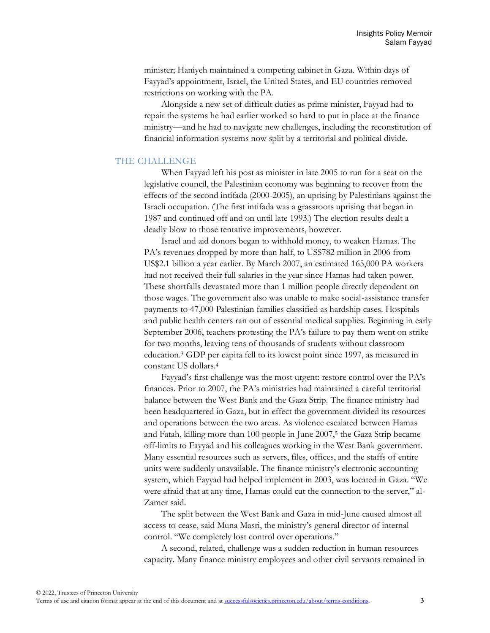minister; Haniyeh maintained a competing cabinet in Gaza. Within days of Fayyad's appointment, Israel, the United States, and EU countries removed restrictions on working with the PA.

Alongside a new set of difficult duties as prime minister, Fayyad had to repair the systems he had earlier worked so hard to put in place at the finance ministry—and he had to navigate new challenges, including the reconstitution of financial information systems now split by a territorial and political divide.

#### THE CHALLENGE

When Fayyad left his post as minister in late 2005 to run for a seat on the legislative council, the Palestinian economy was beginning to recover from the effects of the second intifada (2000-2005), an uprising by Palestinians against the Israeli occupation. (The first intifada was a grassroots uprising that began in 1987 and continued off and on until late 1993.) The election results dealt a deadly blow to those tentative improvements, however.

Israel and aid donors began to withhold money, to weaken Hamas. The PA's revenues dropped by more than half, to US\$782 million in 2006 from US\$2.1 billion a year earlier. By March 2007, an estimated 165,000 PA workers had not received their full salaries in the year since Hamas had taken power. These shortfalls devastated more than 1 million people directly dependent on those wages. The government also was unable to make social-assistance transfer payments to 47,000 Palestinian families classified as hardship cases. Hospitals and public health centers ran out of essential medical supplies. Beginning in early September 2006, teachers protesting the PA's failure to pay them went on strike for two months, leaving tens of thousands of students without classroom education.<sup>3</sup> GDP per capita fell to its lowest point since 1997, as measured in constant US dollars.<sup>4</sup>

Fayyad's first challenge was the most urgent: restore control over the PA's finances. Prior to 2007, the PA's ministries had maintained a careful territorial balance between the West Bank and the Gaza Strip. The finance ministry had been headquartered in Gaza, but in effect the government divided its resources and operations between the two areas. As violence escalated between Hamas and Fatah, killing more than 100 people in June 2007,<sup>5</sup> the Gaza Strip became off-limits to Fayyad and his colleagues working in the West Bank government. Many essential resources such as servers, files, offices, and the staffs of entire units were suddenly unavailable. The finance ministry's electronic accounting system, which Fayyad had helped implement in 2003, was located in Gaza. "We were afraid that at any time, Hamas could cut the connection to the server," al-Zamer said.

The split between the West Bank and Gaza in mid-June caused almost all access to cease, said Muna Masri, the ministry's general director of internal control. "We completely lost control over operations."

A second, related, challenge was a sudden reduction in human resources capacity. Many finance ministry employees and other civil servants remained in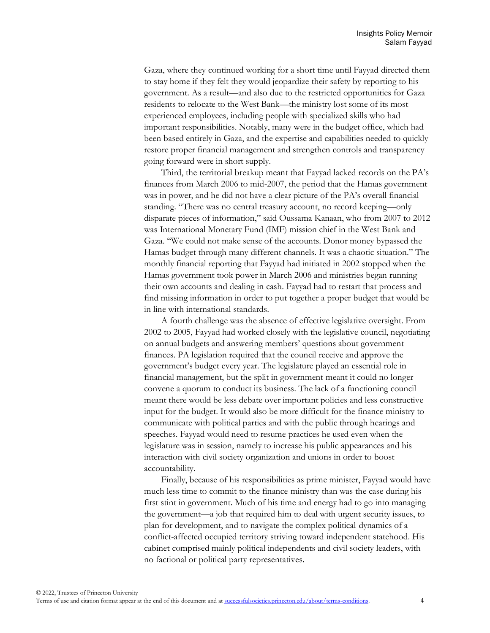Gaza, where they continued working for a short time until Fayyad directed them to stay home if they felt they would jeopardize their safety by reporting to his government. As a result—and also due to the restricted opportunities for Gaza residents to relocate to the West Bank—the ministry lost some of its most experienced employees, including people with specialized skills who had important responsibilities. Notably, many were in the budget office, which had been based entirely in Gaza, and the expertise and capabilities needed to quickly restore proper financial management and strengthen controls and transparency going forward were in short supply.

Third, the territorial breakup meant that Fayyad lacked records on the PA's finances from March 2006 to mid-2007, the period that the Hamas government was in power, and he did not have a clear picture of the PA's overall financial standing. "There was no central treasury account, no record keeping—only disparate pieces of information," said Oussama Kanaan, who from 2007 to 2012 was International Monetary Fund (IMF) mission chief in the West Bank and Gaza. "We could not make sense of the accounts. Donor money bypassed the Hamas budget through many different channels. It was a chaotic situation." The monthly financial reporting that Fayyad had initiated in 2002 stopped when the Hamas government took power in March 2006 and ministries began running their own accounts and dealing in cash. Fayyad had to restart that process and find missing information in order to put together a proper budget that would be in line with international standards.

A fourth challenge was the absence of effective legislative oversight. From 2002 to 2005, Fayyad had worked closely with the legislative council, negotiating on annual budgets and answering members' questions about government finances. PA legislation required that the council receive and approve the government's budget every year. The legislature played an essential role in financial management, but the split in government meant it could no longer convene a quorum to conduct its business. The lack of a functioning council meant there would be less debate over important policies and less constructive input for the budget. It would also be more difficult for the finance ministry to communicate with political parties and with the public through hearings and speeches. Fayyad would need to resume practices he used even when the legislature was in session, namely to increase his public appearances and his interaction with civil society organization and unions in order to boost accountability.

Finally, because of his responsibilities as prime minister, Fayyad would have much less time to commit to the finance ministry than was the case during his first stint in government. Much of his time and energy had to go into managing the government—a job that required him to deal with urgent security issues, to plan for development, and to navigate the complex political dynamics of a conflict-affected occupied territory striving toward independent statehood. His cabinet comprised mainly political independents and civil society leaders, with no factional or political party representatives.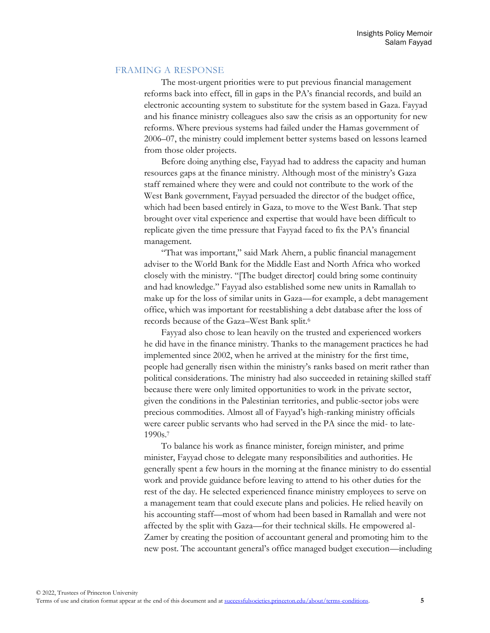#### FRAMING A RESPONSE

The most-urgent priorities were to put previous financial management reforms back into effect, fill in gaps in the PA's financial records, and build an electronic accounting system to substitute for the system based in Gaza. Fayyad and his finance ministry colleagues also saw the crisis as an opportunity for new reforms. Where previous systems had failed under the Hamas government of 2006–07, the ministry could implement better systems based on lessons learned from those older projects.

Before doing anything else, Fayyad had to address the capacity and human resources gaps at the finance ministry. Although most of the ministry's Gaza staff remained where they were and could not contribute to the work of the West Bank government, Fayyad persuaded the director of the budget office, which had been based entirely in Gaza, to move to the West Bank. That step brought over vital experience and expertise that would have been difficult to replicate given the time pressure that Fayyad faced to fix the PA's financial management.

"That was important," said Mark Ahern, a public financial management adviser to the World Bank for the Middle East and North Africa who worked closely with the ministry. "[The budget director] could bring some continuity and had knowledge." Fayyad also established some new units in Ramallah to make up for the loss of similar units in Gaza—for example, a debt management office, which was important for reestablishing a debt database after the loss of records because of the Gaza–West Bank split.<sup>6</sup>

Fayyad also chose to lean heavily on the trusted and experienced workers he did have in the finance ministry. Thanks to the management practices he had implemented since 2002, when he arrived at the ministry for the first time, people had generally risen within the ministry's ranks based on merit rather than political considerations. The ministry had also succeeded in retaining skilled staff because there were only limited opportunities to work in the private sector, given the conditions in the Palestinian territories, and public-sector jobs were precious commodities. Almost all of Fayyad's high-ranking ministry officials were career public servants who had served in the PA since the mid- to late-1990s.<sup>7</sup>

To balance his work as finance minister, foreign minister, and prime minister, Fayyad chose to delegate many responsibilities and authorities. He generally spent a few hours in the morning at the finance ministry to do essential work and provide guidance before leaving to attend to his other duties for the rest of the day. He selected experienced finance ministry employees to serve on a management team that could execute plans and policies. He relied heavily on his accounting staff—most of whom had been based in Ramallah and were not affected by the split with Gaza—for their technical skills. He empowered al-Zamer by creating the position of accountant general and promoting him to the new post. The accountant general's office managed budget execution—including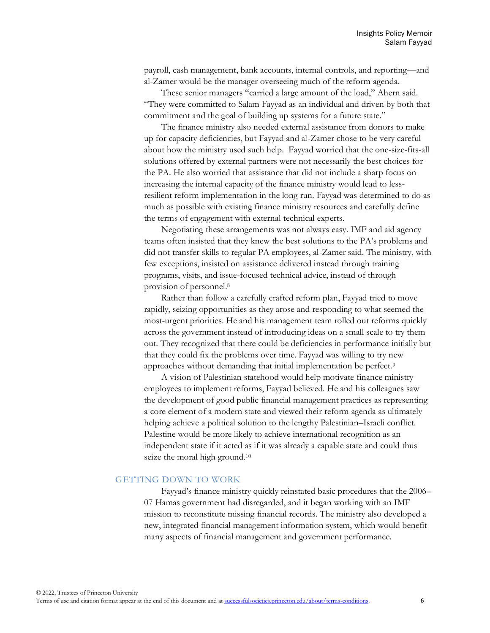payroll, cash management, bank accounts, internal controls, and reporting—and al-Zamer would be the manager overseeing much of the reform agenda.

These senior managers "carried a large amount of the load," Ahern said. "They were committed to Salam Fayyad as an individual and driven by both that commitment and the goal of building up systems for a future state."

The finance ministry also needed external assistance from donors to make up for capacity deficiencies, but Fayyad and al-Zamer chose to be very careful about how the ministry used such help. Fayyad worried that the one-size-fits-all solutions offered by external partners were not necessarily the best choices for the PA. He also worried that assistance that did not include a sharp focus on increasing the internal capacity of the finance ministry would lead to lessresilient reform implementation in the long run. Fayyad was determined to do as much as possible with existing finance ministry resources and carefully define the terms of engagement with external technical experts.

Negotiating these arrangements was not always easy. IMF and aid agency teams often insisted that they knew the best solutions to the PA's problems and did not transfer skills to regular PA employees, al-Zamer said. The ministry, with few exceptions, insisted on assistance delivered instead through training programs, visits, and issue-focused technical advice, instead of through provision of personnel.<sup>8</sup>

Rather than follow a carefully crafted reform plan, Fayyad tried to move rapidly, seizing opportunities as they arose and responding to what seemed the most-urgent priorities. He and his management team rolled out reforms quickly across the government instead of introducing ideas on a small scale to try them out. They recognized that there could be deficiencies in performance initially but that they could fix the problems over time. Fayyad was willing to try new approaches without demanding that initial implementation be perfect.<sup>9</sup>

A vision of Palestinian statehood would help motivate finance ministry employees to implement reforms, Fayyad believed. He and his colleagues saw the development of good public financial management practices as representing a core element of a modern state and viewed their reform agenda as ultimately helping achieve a political solution to the lengthy Palestinian–Israeli conflict. Palestine would be more likely to achieve international recognition as an independent state if it acted as if it was already a capable state and could thus seize the moral high ground.<sup>10</sup>

#### GETTING DOWN TO WORK

Fayyad's finance ministry quickly reinstated basic procedures that the 2006– 07 Hamas government had disregarded, and it began working with an IMF mission to reconstitute missing financial records. The ministry also developed a new, integrated financial management information system, which would benefit many aspects of financial management and government performance.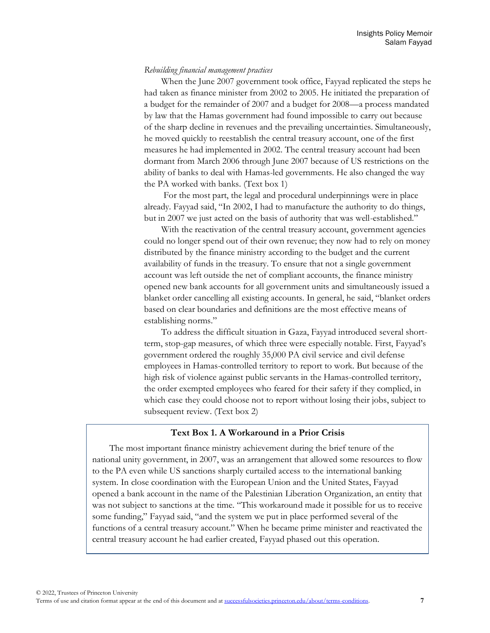## *Rebuilding financial management practices*

When the June 2007 government took office, Fayyad replicated the steps he had taken as finance minister from 2002 to 2005. He initiated the preparation of a budget for the remainder of 2007 and a budget for 2008—a process mandated by law that the Hamas government had found impossible to carry out because of the sharp decline in revenues and the prevailing uncertainties. Simultaneously, he moved quickly to reestablish the central treasury account, one of the first measures he had implemented in 2002. The central treasury account had been dormant from March 2006 through June 2007 because of US restrictions on the ability of banks to deal with Hamas-led governments. He also changed the way the PA worked with banks. (Text box 1)

For the most part, the legal and procedural underpinnings were in place already. Fayyad said, "In 2002, I had to manufacture the authority to do things, but in 2007 we just acted on the basis of authority that was well-established."

With the reactivation of the central treasury account, government agencies could no longer spend out of their own revenue; they now had to rely on money distributed by the finance ministry according to the budget and the current availability of funds in the treasury. To ensure that not a single government account was left outside the net of compliant accounts, the finance ministry opened new bank accounts for all government units and simultaneously issued a blanket order cancelling all existing accounts. In general, he said, "blanket orders based on clear boundaries and definitions are the most effective means of establishing norms."

To address the difficult situation in Gaza, Fayyad introduced several shortterm, stop-gap measures, of which three were especially notable. First, Fayyad's government ordered the roughly 35,000 PA civil service and civil defense employees in Hamas-controlled territory to report to work. But because of the high risk of violence against public servants in the Hamas-controlled territory, the order exempted employees who feared for their safety if they complied, in which case they could choose not to report without losing their jobs, subject to subsequent review. (Text box 2)

## **Text Box 1. A Workaround in a Prior Crisis**

The most important finance ministry achievement during the brief tenure of the national unity government, in 2007, was an arrangement that allowed some resources to flow to the PA even while US sanctions sharply curtailed access to the international banking system. In close coordination with the European Union and the United States, Fayyad opened a bank account in the name of the Palestinian Liberation Organization, an entity that was not subject to sanctions at the time. "This workaround made it possible for us to receive some funding," Fayyad said, "and the system we put in place performed several of the functions of a central treasury account." When he became prime minister and reactivated the central treasury account he had earlier created, Fayyad phased out this operation.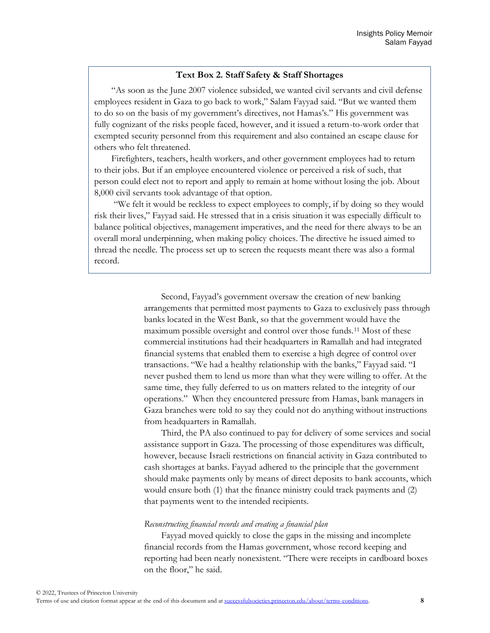## **Text Box 2. Staff Safety & Staff Shortages**

"As soon as the June 2007 violence subsided, we wanted civil servants and civil defense employees resident in Gaza to go back to work," Salam Fayyad said. "But we wanted them to do so on the basis of my government's directives, not Hamas's." His government was fully cognizant of the risks people faced, however, and it issued a return-to-work order that exempted security personnel from this requirement and also contained an escape clause for others who felt threatened.

Firefighters, teachers, health workers, and other government employees had to return to their jobs. But if an employee encountered violence or perceived a risk of such, that person could elect not to report and apply to remain at home without losing the job. About 8,000 civil servants took advantage of that option.

"We felt it would be reckless to expect employees to comply, if by doing so they would risk their lives," Fayyad said. He stressed that in a crisis situation it was especially difficult to balance political objectives, management imperatives, and the need for there always to be an overall moral underpinning, when making policy choices. The directive he issued aimed to thread the needle. The process set up to screen the requests meant there was also a formal record.

> Second, Fayyad's government oversaw the creation of new banking arrangements that permitted most payments to Gaza to exclusively pass through banks located in the West Bank, so that the government would have the maximum possible oversight and control over those funds.<sup>11</sup> Most of these commercial institutions had their headquarters in Ramallah and had integrated financial systems that enabled them to exercise a high degree of control over transactions. "We had a healthy relationship with the banks," Fayyad said. "I never pushed them to lend us more than what they were willing to offer. At the same time, they fully deferred to us on matters related to the integrity of our operations." When they encountered pressure from Hamas, bank managers in Gaza branches were told to say they could not do anything without instructions from headquarters in Ramallah.

> Third, the PA also continued to pay for delivery of some services and social assistance support in Gaza. The processing of those expenditures was difficult, however, because Israeli restrictions on financial activity in Gaza contributed to cash shortages at banks. Fayyad adhered to the principle that the government should make payments only by means of direct deposits to bank accounts, which would ensure both (1) that the finance ministry could track payments and (2) that payments went to the intended recipients.

#### *Reconstructing financial records and creating a financial plan*

Fayyad moved quickly to close the gaps in the missing and incomplete financial records from the Hamas government, whose record keeping and reporting had been nearly nonexistent. "There were receipts in cardboard boxes on the floor," he said.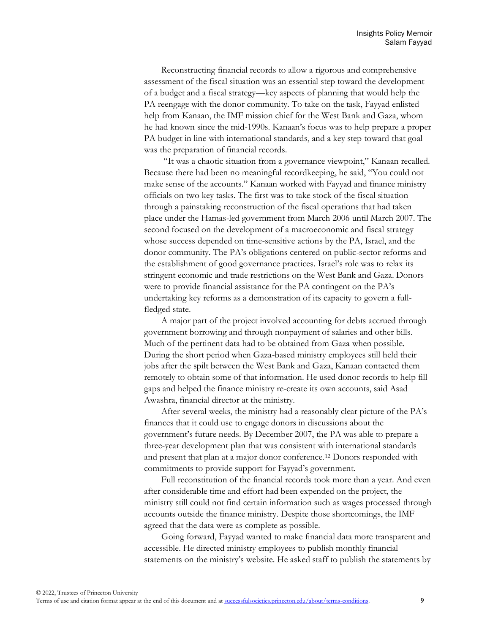Reconstructing financial records to allow a rigorous and comprehensive assessment of the fiscal situation was an essential step toward the development of a budget and a fiscal strategy—key aspects of planning that would help the PA reengage with the donor community. To take on the task, Fayyad enlisted help from Kanaan, the IMF mission chief for the West Bank and Gaza, whom he had known since the mid-1990s. Kanaan's focus was to help prepare a proper PA budget in line with international standards, and a key step toward that goal was the preparation of financial records.

"It was a chaotic situation from a governance viewpoint," Kanaan recalled. Because there had been no meaningful recordkeeping, he said, "You could not make sense of the accounts." Kanaan worked with Fayyad and finance ministry officials on two key tasks. The first was to take stock of the fiscal situation through a painstaking reconstruction of the fiscal operations that had taken place under the Hamas-led government from March 2006 until March 2007. The second focused on the development of a macroeconomic and fiscal strategy whose success depended on time-sensitive actions by the PA, Israel, and the donor community. The PA's obligations centered on public-sector reforms and the establishment of good governance practices. Israel's role was to relax its stringent economic and trade restrictions on the West Bank and Gaza. Donors were to provide financial assistance for the PA contingent on the PA's undertaking key reforms as a demonstration of its capacity to govern a fullfledged state.

A major part of the project involved accounting for debts accrued through government borrowing and through nonpayment of salaries and other bills. Much of the pertinent data had to be obtained from Gaza when possible. During the short period when Gaza-based ministry employees still held their jobs after the spilt between the West Bank and Gaza, Kanaan contacted them remotely to obtain some of that information. He used donor records to help fill gaps and helped the finance ministry re-create its own accounts, said Asad Awashra, financial director at the ministry.

After several weeks, the ministry had a reasonably clear picture of the PA's finances that it could use to engage donors in discussions about the government's future needs. By December 2007, the PA was able to prepare a three-year development plan that was consistent with international standards and present that plan at a major donor conference.<sup>12</sup> Donors responded with commitments to provide support for Fayyad's government.

Full reconstitution of the financial records took more than a year. And even after considerable time and effort had been expended on the project, the ministry still could not find certain information such as wages processed through accounts outside the finance ministry. Despite those shortcomings, the IMF agreed that the data were as complete as possible.

Going forward, Fayyad wanted to make financial data more transparent and accessible. He directed ministry employees to publish monthly financial statements on the ministry's website. He asked staff to publish the statements by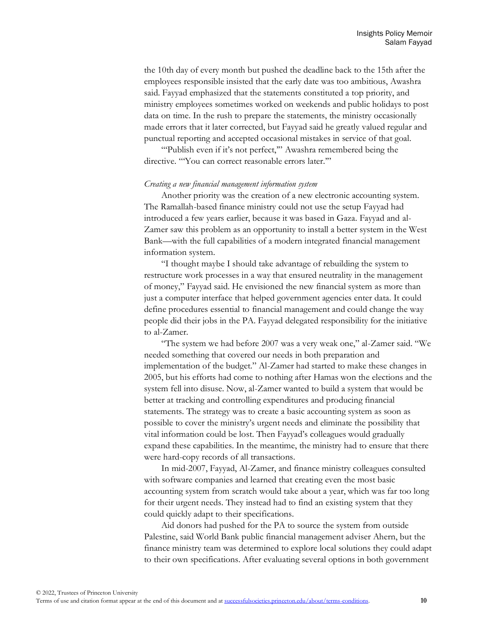the 10th day of every month but pushed the deadline back to the 15th after the employees responsible insisted that the early date was too ambitious, Awashra said. Fayyad emphasized that the statements constituted a top priority, and ministry employees sometimes worked on weekends and public holidays to post data on time. In the rush to prepare the statements, the ministry occasionally made errors that it later corrected, but Fayyad said he greatly valued regular and punctual reporting and accepted occasional mistakes in service of that goal.

"Publish even if it's not perfect," Awashra remembered being the directive. "You can correct reasonable errors later."

#### *Creating a new financial management information system*

Another priority was the creation of a new electronic accounting system. The Ramallah-based finance ministry could not use the setup Fayyad had introduced a few years earlier, because it was based in Gaza. Fayyad and al-Zamer saw this problem as an opportunity to install a better system in the West Bank—with the full capabilities of a modern integrated financial management information system.

"I thought maybe I should take advantage of rebuilding the system to restructure work processes in a way that ensured neutrality in the management of money," Fayyad said. He envisioned the new financial system as more than just a computer interface that helped government agencies enter data. It could define procedures essential to financial management and could change the way people did their jobs in the PA. Fayyad delegated responsibility for the initiative to al-Zamer.

"The system we had before 2007 was a very weak one," al-Zamer said. "We needed something that covered our needs in both preparation and implementation of the budget." Al-Zamer had started to make these changes in 2005, but his efforts had come to nothing after Hamas won the elections and the system fell into disuse. Now, al-Zamer wanted to build a system that would be better at tracking and controlling expenditures and producing financial statements. The strategy was to create a basic accounting system as soon as possible to cover the ministry's urgent needs and eliminate the possibility that vital information could be lost. Then Fayyad's colleagues would gradually expand these capabilities. In the meantime, the ministry had to ensure that there were hard-copy records of all transactions.

In mid-2007, Fayyad, Al-Zamer, and finance ministry colleagues consulted with software companies and learned that creating even the most basic accounting system from scratch would take about a year, which was far too long for their urgent needs. They instead had to find an existing system that they could quickly adapt to their specifications.

Aid donors had pushed for the PA to source the system from outside Palestine, said World Bank public financial management adviser Ahern, but the finance ministry team was determined to explore local solutions they could adapt to their own specifications. After evaluating several options in both government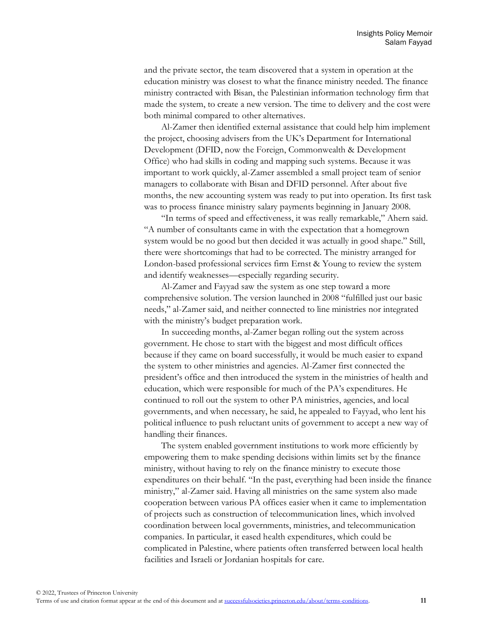and the private sector, the team discovered that a system in operation at the education ministry was closest to what the finance ministry needed. The finance ministry contracted with Bisan, the Palestinian information technology firm that made the system, to create a new version. The time to delivery and the cost were both minimal compared to other alternatives.

Al-Zamer then identified external assistance that could help him implement the project, choosing advisers from the UK's Department for International Development (DFID, now the Foreign, Commonwealth & Development Office) who had skills in coding and mapping such systems. Because it was important to work quickly, al-Zamer assembled a small project team of senior managers to collaborate with Bisan and DFID personnel. After about five months, the new accounting system was ready to put into operation. Its first task was to process finance ministry salary payments beginning in January 2008.

"In terms of speed and effectiveness, it was really remarkable," Ahern said. "A number of consultants came in with the expectation that a homegrown system would be no good but then decided it was actually in good shape." Still, there were shortcomings that had to be corrected. The ministry arranged for London-based professional services firm Ernst & Young to review the system and identify weaknesses—especially regarding security.

Al-Zamer and Fayyad saw the system as one step toward a more comprehensive solution. The version launched in 2008 "fulfilled just our basic needs," al-Zamer said, and neither connected to line ministries nor integrated with the ministry's budget preparation work.

In succeeding months, al-Zamer began rolling out the system across government. He chose to start with the biggest and most difficult offices because if they came on board successfully, it would be much easier to expand the system to other ministries and agencies. Al-Zamer first connected the president's office and then introduced the system in the ministries of health and education, which were responsible for much of the PA's expenditures. He continued to roll out the system to other PA ministries, agencies, and local governments, and when necessary, he said, he appealed to Fayyad, who lent his political influence to push reluctant units of government to accept a new way of handling their finances.

The system enabled government institutions to work more efficiently by empowering them to make spending decisions within limits set by the finance ministry, without having to rely on the finance ministry to execute those expenditures on their behalf. "In the past, everything had been inside the finance ministry," al-Zamer said. Having all ministries on the same system also made cooperation between various PA offices easier when it came to implementation of projects such as construction of telecommunication lines, which involved coordination between local governments, ministries, and telecommunication companies. In particular, it eased health expenditures, which could be complicated in Palestine, where patients often transferred between local health facilities and Israeli or Jordanian hospitals for care.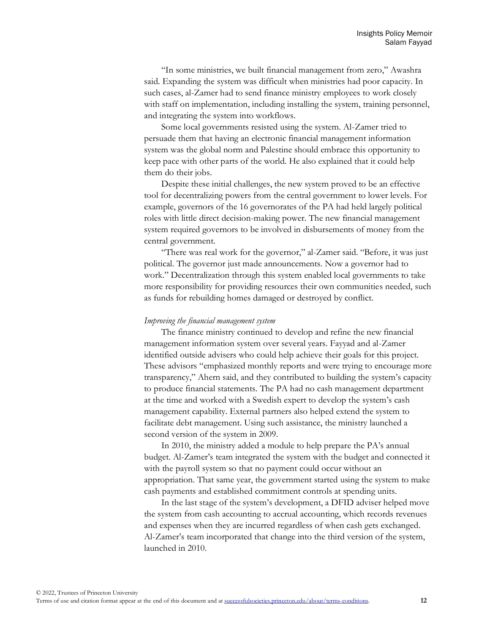"In some ministries, we built financial management from zero," Awashra said. Expanding the system was difficult when ministries had poor capacity. In such cases, al-Zamer had to send finance ministry employees to work closely with staff on implementation, including installing the system, training personnel, and integrating the system into workflows.

Some local governments resisted using the system. Al-Zamer tried to persuade them that having an electronic financial management information system was the global norm and Palestine should embrace this opportunity to keep pace with other parts of the world. He also explained that it could help them do their jobs.

Despite these initial challenges, the new system proved to be an effective tool for decentralizing powers from the central government to lower levels. For example, governors of the 16 governorates of the PA had held largely political roles with little direct decision-making power. The new financial management system required governors to be involved in disbursements of money from the central government.

"There was real work for the governor," al-Zamer said. "Before, it was just political. The governor just made announcements. Now a governor had to work." Decentralization through this system enabled local governments to take more responsibility for providing resources their own communities needed, such as funds for rebuilding homes damaged or destroyed by conflict.

#### *Improving the financial management system*

The finance ministry continued to develop and refine the new financial management information system over several years. Fayyad and al-Zamer identified outside advisers who could help achieve their goals for this project. These advisors "emphasized monthly reports and were trying to encourage more transparency," Ahern said, and they contributed to building the system's capacity to produce financial statements. The PA had no cash management department at the time and worked with a Swedish expert to develop the system's cash management capability. External partners also helped extend the system to facilitate debt management. Using such assistance, the ministry launched a second version of the system in 2009.

In 2010, the ministry added a module to help prepare the PA's annual budget. Al-Zamer's team integrated the system with the budget and connected it with the payroll system so that no payment could occur without an appropriation. That same year, the government started using the system to make cash payments and established commitment controls at spending units.

In the last stage of the system's development, a DFID adviser helped move the system from cash accounting to accrual accounting, which records revenues and expenses when they are incurred regardless of when cash gets exchanged. Al-Zamer's team incorporated that change into the third version of the system, launched in 2010.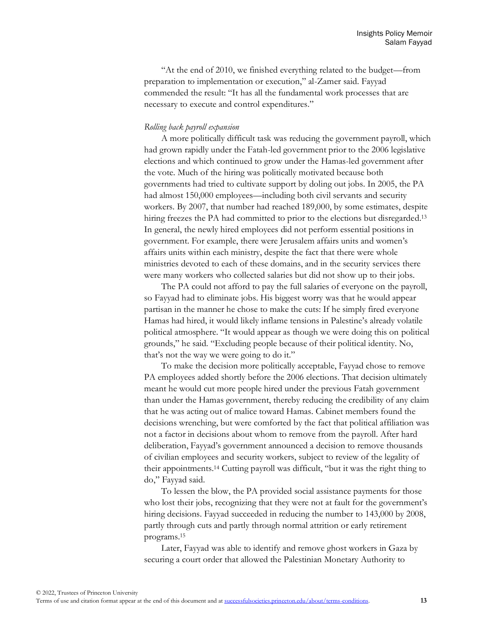"At the end of 2010, we finished everything related to the budget—from preparation to implementation or execution," al-Zamer said. Fayyad commended the result: "It has all the fundamental work processes that are necessary to execute and control expenditures."

### *Rolling back payroll expansion*

A more politically difficult task was reducing the government payroll, which had grown rapidly under the Fatah-led government prior to the 2006 legislative elections and which continued to grow under the Hamas-led government after the vote. Much of the hiring was politically motivated because both governments had tried to cultivate support by doling out jobs. In 2005, the PA had almost 150,000 employees—including both civil servants and security workers. By 2007, that number had reached 189,000, by some estimates, despite hiring freezes the PA had committed to prior to the elections but disregarded.<sup>13</sup> In general, the newly hired employees did not perform essential positions in government. For example, there were Jerusalem affairs units and women's affairs units within each ministry, despite the fact that there were whole ministries devoted to each of these domains, and in the security services there were many workers who collected salaries but did not show up to their jobs.

The PA could not afford to pay the full salaries of everyone on the payroll, so Fayyad had to eliminate jobs. His biggest worry was that he would appear partisan in the manner he chose to make the cuts: If he simply fired everyone Hamas had hired, it would likely inflame tensions in Palestine's already volatile political atmosphere. "It would appear as though we were doing this on political grounds," he said. "Excluding people because of their political identity. No, that's not the way we were going to do it."

To make the decision more politically acceptable, Fayyad chose to remove PA employees added shortly before the 2006 elections. That decision ultimately meant he would cut more people hired under the previous Fatah government than under the Hamas government, thereby reducing the credibility of any claim that he was acting out of malice toward Hamas. Cabinet members found the decisions wrenching, but were comforted by the fact that political affiliation was not a factor in decisions about whom to remove from the payroll. After hard deliberation, Fayyad's government announced a decision to remove thousands of civilian employees and security workers, subject to review of the legality of their appointments.<sup>14</sup> Cutting payroll was difficult, "but it was the right thing to do," Fayyad said.

To lessen the blow, the PA provided social assistance payments for those who lost their jobs, recognizing that they were not at fault for the government's hiring decisions. Fayyad succeeded in reducing the number to 143,000 by 2008, partly through cuts and partly through normal attrition or early retirement programs.<sup>15</sup>

Later, Fayyad was able to identify and remove ghost workers in Gaza by securing a court order that allowed the Palestinian Monetary Authority to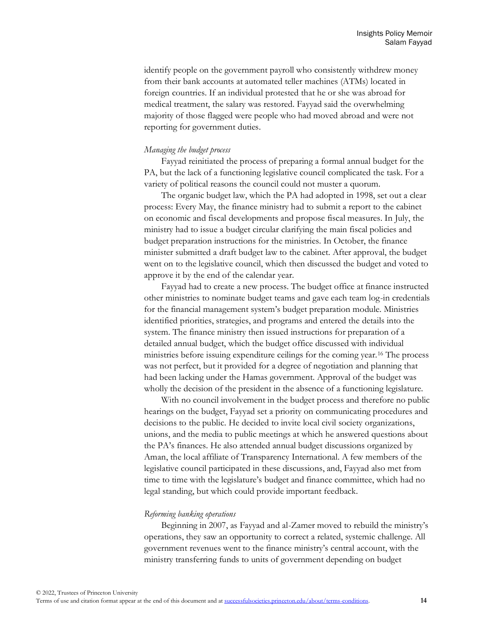identify people on the government payroll who consistently withdrew money from their bank accounts at automated teller machines (ATMs) located in foreign countries. If an individual protested that he or she was abroad for medical treatment, the salary was restored. Fayyad said the overwhelming majority of those flagged were people who had moved abroad and were not reporting for government duties.

#### *Managing the budget process*

Fayyad reinitiated the process of preparing a formal annual budget for the PA, but the lack of a functioning legislative council complicated the task. For a variety of political reasons the council could not muster a quorum.

The organic budget law, which the PA had adopted in 1998, set out a clear process: Every May, the finance ministry had to submit a report to the cabinet on economic and fiscal developments and propose fiscal measures. In July, the ministry had to issue a budget circular clarifying the main fiscal policies and budget preparation instructions for the ministries. In October, the finance minister submitted a draft budget law to the cabinet. After approval, the budget went on to the legislative council, which then discussed the budget and voted to approve it by the end of the calendar year.

Fayyad had to create a new process. The budget office at finance instructed other ministries to nominate budget teams and gave each team log-in credentials for the financial management system's budget preparation module. Ministries identified priorities, strategies, and programs and entered the details into the system. The finance ministry then issued instructions for preparation of a detailed annual budget, which the budget office discussed with individual ministries before issuing expenditure ceilings for the coming year.<sup>16</sup> The process was not perfect, but it provided for a degree of negotiation and planning that had been lacking under the Hamas government. Approval of the budget was wholly the decision of the president in the absence of a functioning legislature.

With no council involvement in the budget process and therefore no public hearings on the budget, Fayyad set a priority on communicating procedures and decisions to the public. He decided to invite local civil society organizations, unions, and the media to public meetings at which he answered questions about the PA's finances. He also attended annual budget discussions organized by Aman, the local affiliate of Transparency International. A few members of the legislative council participated in these discussions, and, Fayyad also met from time to time with the legislature's budget and finance committee, which had no legal standing, but which could provide important feedback.

#### *Reforming banking operations*

Beginning in 2007, as Fayyad and al-Zamer moved to rebuild the ministry's operations, they saw an opportunity to correct a related, systemic challenge. All government revenues went to the finance ministry's central account, with the ministry transferring funds to units of government depending on budget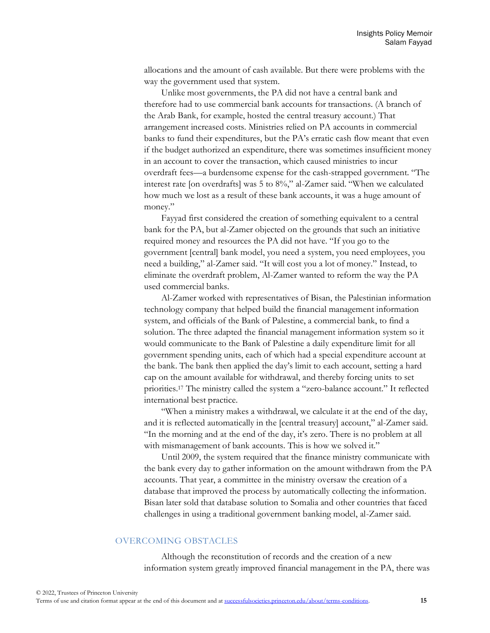allocations and the amount of cash available. But there were problems with the way the government used that system.

Unlike most governments, the PA did not have a central bank and therefore had to use commercial bank accounts for transactions. (A branch of the Arab Bank, for example, hosted the central treasury account.) That arrangement increased costs. Ministries relied on PA accounts in commercial banks to fund their expenditures, but the PA's erratic cash flow meant that even if the budget authorized an expenditure, there was sometimes insufficient money in an account to cover the transaction, which caused ministries to incur overdraft fees—a burdensome expense for the cash-strapped government. "The interest rate [on overdrafts] was 5 to 8%," al-Zamer said. "When we calculated how much we lost as a result of these bank accounts, it was a huge amount of money."

Fayyad first considered the creation of something equivalent to a central bank for the PA, but al-Zamer objected on the grounds that such an initiative required money and resources the PA did not have. "If you go to the government [central] bank model, you need a system, you need employees, you need a building," al-Zamer said. "It will cost you a lot of money." Instead, to eliminate the overdraft problem, Al-Zamer wanted to reform the way the PA used commercial banks.

Al-Zamer worked with representatives of Bisan, the Palestinian information technology company that helped build the financial management information system, and officials of the Bank of Palestine, a commercial bank, to find a solution. The three adapted the financial management information system so it would communicate to the Bank of Palestine a daily expenditure limit for all government spending units, each of which had a special expenditure account at the bank. The bank then applied the day's limit to each account, setting a hard cap on the amount available for withdrawal, and thereby forcing units to set priorities.<sup>17</sup> The ministry called the system a "zero-balance account." It reflected international best practice.

"When a ministry makes a withdrawal, we calculate it at the end of the day, and it is reflected automatically in the [central treasury] account," al-Zamer said. "In the morning and at the end of the day, it's zero. There is no problem at all with mismanagement of bank accounts. This is how we solved it."

Until 2009, the system required that the finance ministry communicate with the bank every day to gather information on the amount withdrawn from the PA accounts. That year, a committee in the ministry oversaw the creation of a database that improved the process by automatically collecting the information. Bisan later sold that database solution to Somalia and other countries that faced challenges in using a traditional government banking model, al-Zamer said.

## OVERCOMING OBSTACLES

Although the reconstitution of records and the creation of a new information system greatly improved financial management in the PA, there was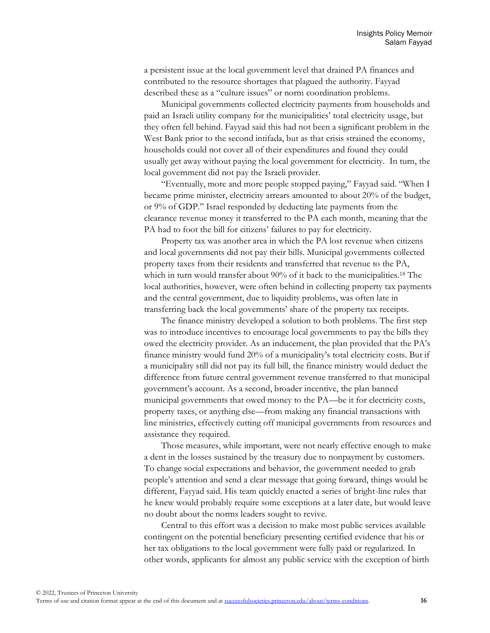a persistent issue at the local government level that drained PA finances and contributed to the resource shortages that plagued the authority. Fayyad described these as a "culture issues" or norm coordination problems.

Municipal governments collected electricity payments from households and paid an Israeli utility company for the municipalities' total electricity usage, but they often fell behind. Fayyad said this had not been a significant problem in the West Bank prior to the second intifada, but as that crisis strained the economy, households could not cover all of their expenditures and found they could usually get away without paying the local government for electricity. In turn, the local government did not pay the Israeli provider.

"Eventually, more and more people stopped paying," Fayyad said. "When I became prime minister, electricity arrears amounted to about 20% of the budget, or 9% of GDP." Israel responded by deducting late payments from the clearance revenue money it transferred to the PA each month, meaning that the PA had to foot the bill for citizens' failures to pay for electricity.

Property tax was another area in which the PA lost revenue when citizens and local governments did not pay their bills. Municipal governments collected property taxes from their residents and transferred that revenue to the PA, which in turn would transfer about 90% of it back to the municipalities.<sup>18</sup> The local authorities, however, were often behind in collecting property tax payments and the central government, due to liquidity problems, was often late in transferring back the local governments' share of the property tax receipts.

The finance ministry developed a solution to both problems. The first step was to introduce incentives to encourage local governments to pay the bills they owed the electricity provider. As an inducement, the plan provided that the PA's finance ministry would fund 20% of a municipality's total electricity costs. But if a municipality still did not pay its full bill, the finance ministry would deduct the difference from future central government revenue transferred to that municipal government's account. As a second, broader incentive, the plan banned municipal governments that owed money to the PA—be it for electricity costs, property taxes, or anything else—from making any financial transactions with line ministries, effectively cutting off municipal governments from resources and assistance they required.

Those measures, while important, were not nearly effective enough to make a dent in the losses sustained by the treasury due to nonpayment by customers. To change social expectations and behavior, the government needed to grab people's attention and send a clear message that going forward, things would be different, Fayyad said. His team quickly enacted a series of bright-line rules that he knew would probably require some exceptions at a later date, but would leave no doubt about the norms leaders sought to revive.

Central to this effort was a decision to make most public services available contingent on the potential beneficiary presenting certified evidence that his or her tax obligations to the local government were fully paid or regularized. In other words, applicants for almost any public service with the exception of birth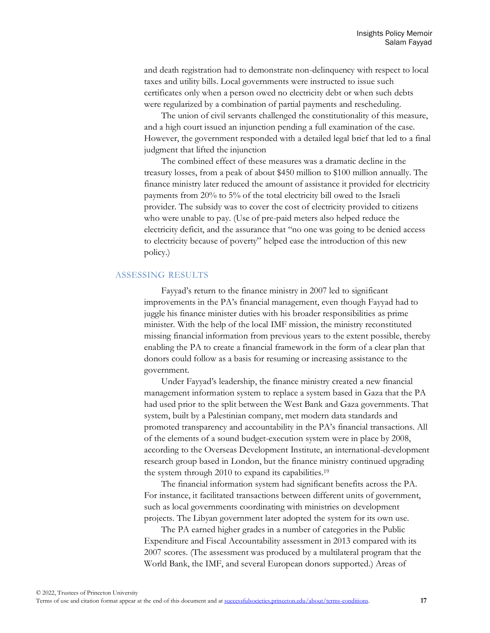and death registration had to demonstrate non-delinquency with respect to local taxes and utility bills. Local governments were instructed to issue such certificates only when a person owed no electricity debt or when such debts were regularized by a combination of partial payments and rescheduling.

The union of civil servants challenged the constitutionality of this measure, and a high court issued an injunction pending a full examination of the case. However, the government responded with a detailed legal brief that led to a final judgment that lifted the injunction

The combined effect of these measures was a dramatic decline in the treasury losses, from a peak of about \$450 million to \$100 million annually. The finance ministry later reduced the amount of assistance it provided for electricity payments from 20% to 5% of the total electricity bill owed to the Israeli provider. The subsidy was to cover the cost of electricity provided to citizens who were unable to pay. (Use of pre-paid meters also helped reduce the electricity deficit, and the assurance that "no one was going to be denied access to electricity because of poverty" helped ease the introduction of this new policy.)

#### ASSESSING RESULTS

Fayyad's return to the finance ministry in 2007 led to significant improvements in the PA's financial management, even though Fayyad had to juggle his finance minister duties with his broader responsibilities as prime minister. With the help of the local IMF mission, the ministry reconstituted missing financial information from previous years to the extent possible, thereby enabling the PA to create a financial framework in the form of a clear plan that donors could follow as a basis for resuming or increasing assistance to the government.

Under Fayyad's leadership, the finance ministry created a new financial management information system to replace a system based in Gaza that the PA had used prior to the split between the West Bank and Gaza governments. That system, built by a Palestinian company, met modern data standards and promoted transparency and accountability in the PA's financial transactions. All of the elements of a sound budget-execution system were in place by 2008, according to the Overseas Development Institute, an international-development research group based in London, but the finance ministry continued upgrading the system through 2010 to expand its capabilities.<sup>19</sup>

The financial information system had significant benefits across the PA. For instance, it facilitated transactions between different units of government, such as local governments coordinating with ministries on development projects. The Libyan government later adopted the system for its own use.

The PA earned higher grades in a number of categories in the Public Expenditure and Fiscal Accountability assessment in 2013 compared with its 2007 scores. (The assessment was produced by a multilateral program that the World Bank, the IMF, and several European donors supported.) Areas of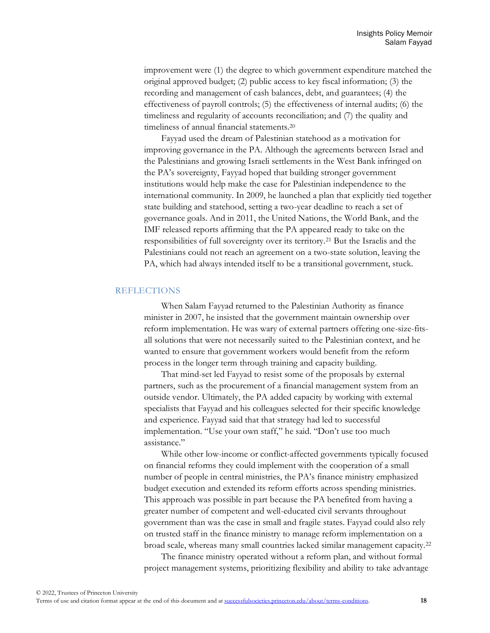improvement were (1) the degree to which government expenditure matched the original approved budget; (2) public access to key fiscal information; (3) the recording and management of cash balances, debt, and guarantees; (4) the effectiveness of payroll controls; (5) the effectiveness of internal audits; (6) the timeliness and regularity of accounts reconciliation; and (7) the quality and timeliness of annual financial statements.<sup>20</sup>

Fayyad used the dream of Palestinian statehood as a motivation for improving governance in the PA. Although the agreements between Israel and the Palestinians and growing Israeli settlements in the West Bank infringed on the PA's sovereignty, Fayyad hoped that building stronger government institutions would help make the case for Palestinian independence to the international community. In 2009, he launched a plan that explicitly tied together state building and statehood, setting a two-year deadline to reach a set of governance goals. And in 2011, the United Nations, the World Bank, and the IMF released reports affirming that the PA appeared ready to take on the responsibilities of full sovereignty over its territory.<sup>21</sup> But the Israelis and the Palestinians could not reach an agreement on a two-state solution, leaving the PA, which had always intended itself to be a transitional government, stuck.

## **REFLECTIONS**

When Salam Fayyad returned to the Palestinian Authority as finance minister in 2007, he insisted that the government maintain ownership over reform implementation. He was wary of external partners offering one-size-fitsall solutions that were not necessarily suited to the Palestinian context, and he wanted to ensure that government workers would benefit from the reform process in the longer term through training and capacity building.

That mind-set led Fayyad to resist some of the proposals by external partners, such as the procurement of a financial management system from an outside vendor. Ultimately, the PA added capacity by working with external specialists that Fayyad and his colleagues selected for their specific knowledge and experience. Fayyad said that that strategy had led to successful implementation. "Use your own staff," he said. "Don't use too much assistance."

While other low-income or conflict-affected governments typically focused on financial reforms they could implement with the cooperation of a small number of people in central ministries, the PA's finance ministry emphasized budget execution and extended its reform efforts across spending ministries. This approach was possible in part because the PA benefited from having a greater number of competent and well-educated civil servants throughout government than was the case in small and fragile states. Fayyad could also rely on trusted staff in the finance ministry to manage reform implementation on a broad scale, whereas many small countries lacked similar management capacity.<sup>22</sup>

The finance ministry operated without a reform plan, and without formal project management systems, prioritizing flexibility and ability to take advantage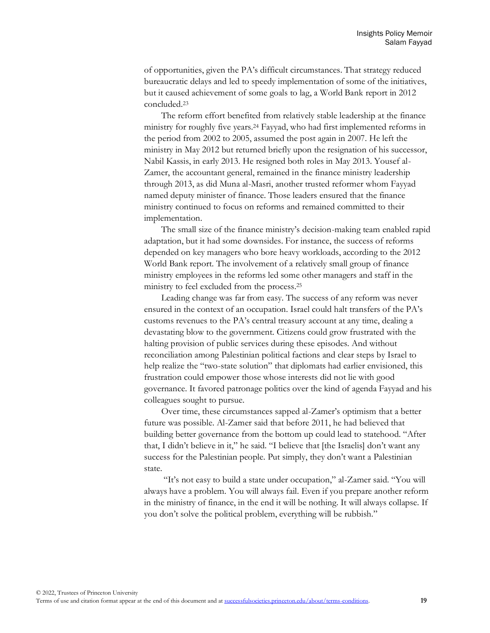of opportunities, given the PA's difficult circumstances. That strategy reduced bureaucratic delays and led to speedy implementation of some of the initiatives, but it caused achievement of some goals to lag, a World Bank report in 2012 concluded.<sup>23</sup>

The reform effort benefited from relatively stable leadership at the finance ministry for roughly five years.<sup>24</sup> Fayyad, who had first implemented reforms in the period from 2002 to 2005, assumed the post again in 2007. He left the ministry in May 2012 but returned briefly upon the resignation of his successor, Nabil Kassis, in early 2013. He resigned both roles in May 2013. Yousef al-Zamer, the accountant general, remained in the finance ministry leadership through 2013, as did Muna al-Masri, another trusted reformer whom Fayyad named deputy minister of finance. Those leaders ensured that the finance ministry continued to focus on reforms and remained committed to their implementation.

The small size of the finance ministry's decision-making team enabled rapid adaptation, but it had some downsides. For instance, the success of reforms depended on key managers who bore heavy workloads, according to the 2012 World Bank report. The involvement of a relatively small group of finance ministry employees in the reforms led some other managers and staff in the ministry to feel excluded from the process.<sup>25</sup>

Leading change was far from easy. The success of any reform was never ensured in the context of an occupation. Israel could halt transfers of the PA's customs revenues to the PA's central treasury account at any time, dealing a devastating blow to the government. Citizens could grow frustrated with the halting provision of public services during these episodes. And without reconciliation among Palestinian political factions and clear steps by Israel to help realize the "two-state solution" that diplomats had earlier envisioned, this frustration could empower those whose interests did not lie with good governance. It favored patronage politics over the kind of agenda Fayyad and his colleagues sought to pursue.

Over time, these circumstances sapped al-Zamer's optimism that a better future was possible. Al-Zamer said that before 2011, he had believed that building better governance from the bottom up could lead to statehood. "After that, I didn't believe in it," he said. "I believe that [the Israelis] don't want any success for the Palestinian people. Put simply, they don't want a Palestinian state.

"It's not easy to build a state under occupation," al-Zamer said. "You will always have a problem. You will always fail. Even if you prepare another reform in the ministry of finance, in the end it will be nothing. It will always collapse. If you don't solve the political problem, everything will be rubbish."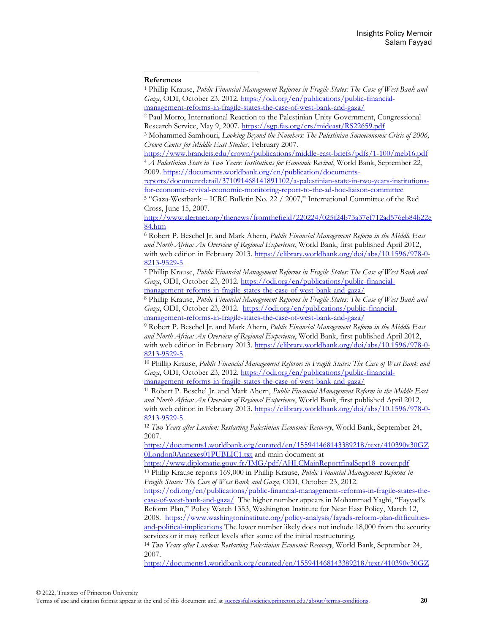#### **References**

<sup>1</sup> Phillip Krause, *Public Financial Management Reforms in Fragile States: The Case of West Bank and Gaza*, ODI, October 23, 2012[. https://odi.org/en/publications/public-financial](https://odi.org/en/publications/public-financial-management-reforms-in-fragile-states-the-case-of-west-bank-and-gaza/)[management-reforms-in-fragile-states-the-case-of-west-bank-and-gaza/](https://odi.org/en/publications/public-financial-management-reforms-in-fragile-states-the-case-of-west-bank-and-gaza/) 

<sup>2</sup> Paul Morro, International Reaction to the Palestinian Unity Government, Congressional Research Service, May 9, 2007[. https://sgp.fas.org/crs/mideast/RS22659.pdf](https://sgp.fas.org/crs/mideast/RS22659.pdf)

<sup>3</sup> Mohammed Samhouri, *Looking Beyond the Numbers: The Palestinian Socioeconomic Crisis of 2006, Crown Center for Middle East Studies*, February 2007.

<https://www.brandeis.edu/crown/publications/middle-east-briefs/pdfs/1-100/meb16.pdf> <sup>4</sup> *A Palestinian State in Two Years: Institutions for Economic Revival*, World Bank, September 22, 2009[. https://documents.worldbank.org/en/publication/documents-](https://documents.worldbank.org/en/publication/documents-reports/documentdetail/371091468141891102/a-palestinian-state-in-two-years-institutions-for-economic-revival-economic-monitoring-report-to-the-ad-hoc-liaison-committee)

[reports/documentdetail/371091468141891102/a-palestinian-state-in-two-years-institutions](https://documents.worldbank.org/en/publication/documents-reports/documentdetail/371091468141891102/a-palestinian-state-in-two-years-institutions-for-economic-revival-economic-monitoring-report-to-the-ad-hoc-liaison-committee)[for-economic-revival-economic-monitoring-report-to-the-ad-hoc-liaison-committee](https://documents.worldbank.org/en/publication/documents-reports/documentdetail/371091468141891102/a-palestinian-state-in-two-years-institutions-for-economic-revival-economic-monitoring-report-to-the-ad-hoc-liaison-committee) 

<sup>5</sup> "Gaza-Westbank – ICRC Bulletin No. 22 / 2007," International Committee of the Red Cross, June 15, 2007.

[http://www.alertnet.org/thenews/fromthefield/220224/025f24b73a37ef712ad576eb84b22e](http://www.alertnet.org/thenews/fromthefield/220224/025f24b73a37ef712ad576eb84b22e84.htm) [84.htm](http://www.alertnet.org/thenews/fromthefield/220224/025f24b73a37ef712ad576eb84b22e84.htm)

<sup>6</sup> Robert P. Beschel Jr. and Mark Ahern, *Public Financial Management Reform in the Middle East and North Africa: An Overview of Regional Experience*, World Bank, first published April 2012, with web edition in February 2013. [https://elibrary.worldbank.org/doi/abs/10.1596/978-0-](https://elibrary.worldbank.org/doi/abs/10.1596/978-0-8213-9529-5) [8213-9529-5](https://elibrary.worldbank.org/doi/abs/10.1596/978-0-8213-9529-5)

<sup>7</sup> Phillip Krause, *Public Financial Management Reforms in Fragile States: The Case of West Bank and Gaza*, ODI, October 23, 2012[. https://odi.org/en/publications/public-financial](https://odi.org/en/publications/public-financial-management-reforms-in-fragile-states-the-case-of-west-bank-and-gaza/)[management-reforms-in-fragile-states-the-case-of-west-bank-and-gaza/](https://odi.org/en/publications/public-financial-management-reforms-in-fragile-states-the-case-of-west-bank-and-gaza/) 

<sup>8</sup> Phillip Krause, *Public Financial Management Reforms in Fragile States: The Case of West Bank and Gaza*, ODI, October 23, 2012. [https://odi.org/en/publications/public-financial](https://odi.org/en/publications/public-financial-management-reforms-in-fragile-states-the-case-of-west-bank-and-gaza/)[management-reforms-in-fragile-states-the-case-of-west-bank-and-gaza/](https://odi.org/en/publications/public-financial-management-reforms-in-fragile-states-the-case-of-west-bank-and-gaza/) 

<sup>9</sup> Robert P. Beschel Jr. and Mark Ahern, *Public Financial Management Reform in the Middle East and North Africa: An Overview of Regional Experience*, World Bank, first published April 2012, with web edition in February 2013. [https://elibrary.worldbank.org/doi/abs/10.1596/978-0-](https://elibrary.worldbank.org/doi/abs/10.1596/978-0-8213-9529-5) [8213-9529-5](https://elibrary.worldbank.org/doi/abs/10.1596/978-0-8213-9529-5)

<sup>10</sup> Phillip Krause, *Public Financial Management Reforms in Fragile States: The Case of West Bank and*  Gaza, ODI, October 23, 2012[. https://odi.org/en/publications/public-financial](https://odi.org/en/publications/public-financial-management-reforms-in-fragile-states-the-case-of-west-bank-and-gaza/)[management-reforms-in-fragile-states-the-case-of-west-bank-and-gaza/](https://odi.org/en/publications/public-financial-management-reforms-in-fragile-states-the-case-of-west-bank-and-gaza/)

<sup>11</sup> Robert P. Beschel Jr. and Mark Ahern, *Public Financial Management Reform in the Middle East and North Africa: An Overview of Regional Experience*, World Bank, first published April 2012, with web edition in February 2013. [https://elibrary.worldbank.org/doi/abs/10.1596/978-0-](https://elibrary.worldbank.org/doi/abs/10.1596/978-0-8213-9529-5) [8213-9529-5](https://elibrary.worldbank.org/doi/abs/10.1596/978-0-8213-9529-5)

<sup>12</sup> *Two Years after London: Restarting Palestinian Economic Recovery*, World Bank, September 24, 2007.

[https://documents1.worldbank.org/curated/en/155941468143389218/text/410390v30GZ](https://documents1.worldbank.org/curated/en/155941468143389218/text/410390v30GZ0London0Annexes01PUBLIC1.txt) [0London0Annexes01PUBLIC1.txt](https://documents1.worldbank.org/curated/en/155941468143389218/text/410390v30GZ0London0Annexes01PUBLIC1.txt) and main document at

[https://www.diplomatie.gouv.fr/IMG/pdf/AHLCMainReportfinalSept18\\_cover.pdf](https://www.diplomatie.gouv.fr/IMG/pdf/AHLCMainReportfinalSept18_cover.pdf)  <sup>13</sup> Philip Krause reports 169,000 in Phillip Krause, *Public Financial Management Reforms in* 

*Fragile States: The Case of West Bank and Gaza*, ODI, October 23, 2012.

[https://odi.org/en/publications/public-financial-management-reforms-in-fragile-states-the](https://odi.org/en/publications/public-financial-management-reforms-in-fragile-states-the-case-of-west-bank-and-gaza/)[case-of-west-bank-and-gaza/](https://odi.org/en/publications/public-financial-management-reforms-in-fragile-states-the-case-of-west-bank-and-gaza/) The higher number appears in Mohammad Yaghi, "Fayyad's Reform Plan," Policy Watch 1353, Washington Institute for Near East Policy, March 12, 2008. [https://www.washingtoninstitute.org/policy-analysis/fayads-reform-plan-difficulties-](https://www.washingtoninstitute.org/policy-analysis/fayads-reform-plan-difficulties-and-political-implications)

[and-political-implications](https://www.washingtoninstitute.org/policy-analysis/fayads-reform-plan-difficulties-and-political-implications) The lower number likely does not include 18,000 from the security services or it may reflect levels after some of the initial restructuring.

<sup>14</sup> *Two Years after London: Restarting Palestinian Economic Recovery*, World Bank, September 24, 2007.

[https://documents1.worldbank.org/curated/en/155941468143389218/text/410390v30GZ](https://documents1.worldbank.org/curated/en/155941468143389218/text/410390v30GZ0London0Annexes01PUBLIC1.txt)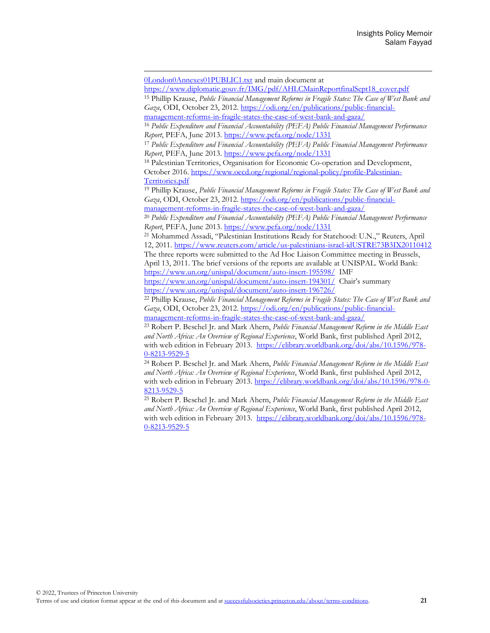[https://www.diplomatie.gouv.fr/IMG/pdf/AHLCMainReportfinalSept18\\_cover.pdf](https://www.diplomatie.gouv.fr/IMG/pdf/AHLCMainReportfinalSept18_cover.pdf)

<sup>15</sup> Phillip Krause, *Public Financial Management Reforms in Fragile States: The Case of West Bank and Gaza*, ODI, October 23, 2012[. https://odi.org/en/publications/public-financial-](https://odi.org/en/publications/public-financial-management-reforms-in-fragile-states-the-case-of-west-bank-and-gaza/)

[management-reforms-in-fragile-states-the-case-of-west-bank-and-gaza/](https://odi.org/en/publications/public-financial-management-reforms-in-fragile-states-the-case-of-west-bank-and-gaza/)  <sup>16</sup> *Public Expenditure and Financial Accountability (PEFA) Public Financial Management Performance* 

*Report*, PEFA, June 2013. <https://www.pefa.org/node/1331>

<sup>17</sup> *Public Expenditure and Financial Accountability (PEFA) Public Financial Management Performance Report*, PEFA, June 2013[. https://www.pefa.org/node/1331](https://www.pefa.org/node/1331)

<sup>18</sup> Palestinian Territories, Organisation for Economic Co-operation and Development, October 2016[. https://www.oecd.org/regional/regional-policy/profile-Palestinian-](https://www.oecd.org/regional/regional-policy/profile-Palestinian-Territories.pdf)[Territories.pdf](https://www.oecd.org/regional/regional-policy/profile-Palestinian-Territories.pdf)

<sup>19</sup> Phillip Krause, *Public Financial Management Reforms in Fragile States: The Case of West Bank and Gaza*, ODI, October 23, 2012[. https://odi.org/en/publications/public-financial-](https://odi.org/en/publications/public-financial-management-reforms-in-fragile-states-the-case-of-west-bank-and-gaza/)

[management-reforms-in-fragile-states-the-case-of-west-bank-and-gaza/](https://odi.org/en/publications/public-financial-management-reforms-in-fragile-states-the-case-of-west-bank-and-gaza/)  <sup>20</sup> *Public Expenditure and Financial Accountability (PEFA) Public Financial Management Performance* 

*Report*, PEFA, June 2013. <https://www.pefa.org/node/1331>

<sup>21</sup> Mohammed Assadi, "Palestinian Institutions Ready for Statehood: U.N.," Reuters, April 12, 2011[. https://www.reuters.com/article/us-palestinians-israel-idUSTRE73B3IX20110412](https://www.reuters.com/article/us-palestinians-israel-idUSTRE73B3IX20110412)  The three reports were submitted to the Ad Hoc Liaison Committee meeting in Brussels,

April 13, 2011. The brief versions of the reports are available at UNISPAL. World Bank: <https://www.un.org/unispal/document/auto-insert-195598/> IMF

<https://www.un.org/unispal/document/auto-insert-194301/>Chair's summary <https://www.un.org/unispal/document/auto-insert-196726/>

<sup>22</sup> Phillip Krause, *Public Financial Management Reforms in Fragile States: The Case of West Bank and Gaza*, ODI, October 23, 2012[. https://odi.org/en/publications/public-financial](https://odi.org/en/publications/public-financial-management-reforms-in-fragile-states-the-case-of-west-bank-and-gaza/)[management-reforms-in-fragile-states-the-case-of-west-bank-and-gaza/](https://odi.org/en/publications/public-financial-management-reforms-in-fragile-states-the-case-of-west-bank-and-gaza/) 

<sup>23</sup> Robert P. Beschel Jr. and Mark Ahern, *Public Financial Management Reform in the Middle East and North Africa: An Overview of Regional Experience*, World Bank, first published April 2012, with web edition in February 2013. [https://elibrary.worldbank.org/doi/abs/10.1596/978-](https://elibrary.worldbank.org/doi/abs/10.1596/978-0-8213-9529-5) [0-8213-9529-5](https://elibrary.worldbank.org/doi/abs/10.1596/978-0-8213-9529-5)

<sup>24</sup> Robert P. Beschel Jr. and Mark Ahern, *Public Financial Management Reform in the Middle East and North Africa: An Overview of Regional Experience*, World Bank, first published April 2012, with web edition in February 2013. [https://elibrary.worldbank.org/doi/abs/10.1596/978-0-](https://elibrary.worldbank.org/doi/abs/10.1596/978-0-8213-9529-5) [8213-9529-5](https://elibrary.worldbank.org/doi/abs/10.1596/978-0-8213-9529-5)

<sup>25</sup> Robert P. Beschel Jr. and Mark Ahern, *Public Financial Management Reform in the Middle East and North Africa: An Overview of Regional Experience*, World Bank, first published April 2012, with web edition in February 2013. [https://elibrary.worldbank.org/doi/abs/10.1596/978-](https://elibrary.worldbank.org/doi/abs/10.1596/978-0-8213-9529-5) [0-8213-9529-5](https://elibrary.worldbank.org/doi/abs/10.1596/978-0-8213-9529-5)

[<sup>0</sup>London0Annexes01PUBLIC1.txt](https://documents1.worldbank.org/curated/en/155941468143389218/text/410390v30GZ0London0Annexes01PUBLIC1.txt) and main document at